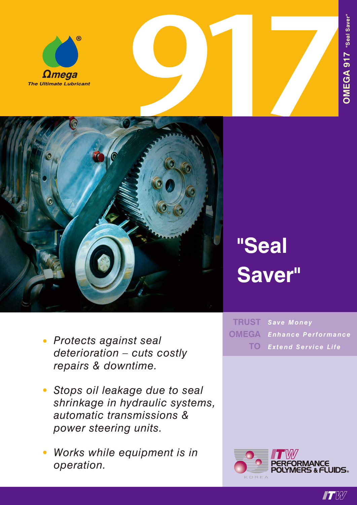





# **"Seal Saver"**

- *• Protects against seal deterioration – cuts costly repairs & downtime.*
- *• Stops oil leakage due to seal shrinkage in hydraulic systems, automatic transmissions & power steering units.*
- *• Works while equipment is in operation.*

 $TRUST$  Save Money *Enhance Performance Extend Service Life* **OMEGA TO**



 $\blacksquare T$   $W$